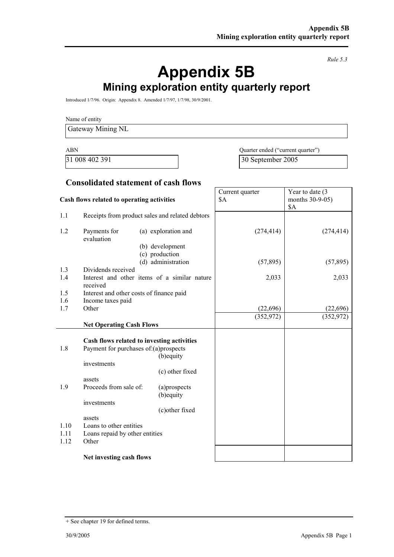*Rule 5.3* 

# **Appendix 5B Mining exploration entity quarterly report**

Introduced 1/7/96. Origin: Appendix 8. Amended 1/7/97, 1/7/98, 30/9/2001.

Name of entity

Gateway Mining NL

ABN Quarter ended ("current quarter") 31 008 402 391 30 September 2005

Year to date (3

Current quarter

#### **Consolidated statement of cash flows**

| Cash flows related to operating activities |                                                                                                    | <b>\$A</b>                                   | months 30-9-05)<br>\$A |            |
|--------------------------------------------|----------------------------------------------------------------------------------------------------|----------------------------------------------|------------------------|------------|
| 1.1                                        | Receipts from product sales and related debtors                                                    |                                              |                        |            |
| 1.2                                        | Payments for<br>evaluation                                                                         | (a) exploration and                          | (274, 414)             | (274, 414) |
|                                            |                                                                                                    | (b) development<br>(c) production            |                        |            |
|                                            |                                                                                                    | (d) administration                           | (57, 895)              | (57, 895)  |
| 1.3                                        | Dividends received                                                                                 |                                              |                        |            |
| 1.4                                        | received                                                                                           | Interest and other items of a similar nature | 2,033                  | 2,033      |
| 1.5                                        | Interest and other costs of finance paid                                                           |                                              |                        |            |
| 1.6                                        | Income taxes paid                                                                                  |                                              |                        |            |
| 1.7                                        | Other                                                                                              |                                              | (22,696)               | (22, 696)  |
|                                            | <b>Net Operating Cash Flows</b>                                                                    |                                              | (352, 972)             | (352, 972) |
| 1.8                                        | Cash flows related to investing activities<br>Payment for purchases of:(a)prospects<br>investments | (b) equity                                   |                        |            |
|                                            |                                                                                                    | (c) other fixed                              |                        |            |
| 1.9                                        | assets<br>Proceeds from sale of:<br>investments                                                    | (a)prospects<br>(b) equity                   |                        |            |
| 1.10<br>1.11<br>1.12                       | assets<br>Loans to other entities<br>Loans repaid by other entities<br>Other                       | (c)other fixed                               |                        |            |
|                                            | Net investing cash flows                                                                           |                                              |                        |            |

<sup>+</sup> See chapter 19 for defined terms.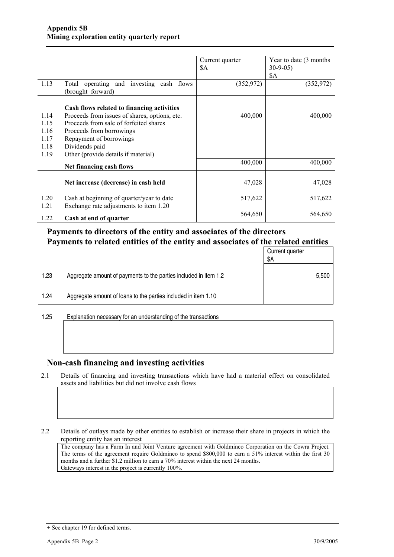|      |                                                               | Current quarter | Year to date (3 months) |
|------|---------------------------------------------------------------|-----------------|-------------------------|
|      |                                                               | \$A             | $30-9-05$               |
|      |                                                               |                 | \$A                     |
| 1.13 | Total operating and investing cash flows<br>(brought forward) | (352, 972)      | (352, 972)              |
|      | Cash flows related to financing activities                    |                 |                         |
| 1.14 | Proceeds from issues of shares, options, etc.                 | 400,000         | 400,000                 |
| 1.15 | Proceeds from sale of forfeited shares                        |                 |                         |
| 1.16 | Proceeds from borrowings                                      |                 |                         |
| 1.17 | Repayment of borrowings                                       |                 |                         |
| 1.18 | Dividends paid                                                |                 |                         |
| 1.19 | Other (provide details if material)                           |                 |                         |
|      | Net financing cash flows                                      | 400,000         | 400,000                 |
|      | Net increase (decrease) in cash held                          | 47,028          | 47,028                  |
| 1.20 | Cash at beginning of quarter/year to date                     | 517,622         | 517,622                 |
| 1.21 | Exchange rate adjustments to item 1.20                        |                 |                         |
| 1.22 | Cash at end of quarter                                        | 564,650         | 564,650                 |

### **Payments to directors of the entity and associates of the directors Payments to related entities of the entity and associates of the related entities**

|      |                                                                  | Current quarter<br>\$Α |
|------|------------------------------------------------------------------|------------------------|
| 1.23 | Aggregate amount of payments to the parties included in item 1.2 | 5,500                  |
| 1.24 | Aggregate amount of loans to the parties included in item 1.10   |                        |
|      |                                                                  |                        |

1.25 Explanation necessary for an understanding of the transactions

#### **Non-cash financing and investing activities**

2.1 Details of financing and investing transactions which have had a material effect on consolidated assets and liabilities but did not involve cash flows

2.2 Details of outlays made by other entities to establish or increase their share in projects in which the reporting entity has an interest

The company has a Farm In and Joint Venture agreement with Goldminco Corporation on the Cowra Project. The terms of the agreement require Goldminco to spend \$800,000 to earn a 51% interest within the first 30 months and a further \$1.2 million to earn a 70% interest within the next 24 months. Gateways interest in the project is currently 100%.

<sup>+</sup> See chapter 19 for defined terms.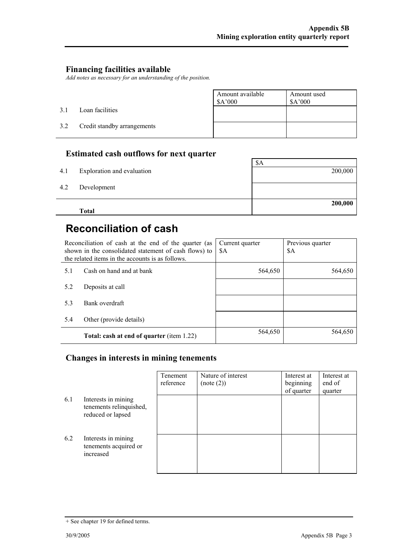### **Financing facilities available**

*Add notes as necessary for an understanding of the position.* 

|     |                             | Amount available<br>\$A'000 | Amount used<br>\$A'000 |
|-----|-----------------------------|-----------------------------|------------------------|
| 3.1 | Loan facilities             |                             |                        |
| 3.2 | Credit standby arrangements |                             |                        |

### **Estimated cash outflows for next quarter**

|     | <b>Total</b>               | 200,000 |
|-----|----------------------------|---------|
| 4.2 | Development                |         |
| 4.1 | Exploration and evaluation | 200,000 |
|     |                            | \$A     |

### **Reconciliation of cash**

|     | Reconciliation of cash at the end of the quarter (as<br>shown in the consolidated statement of cash flows) to<br>the related items in the accounts is as follows. | Current quarter<br>\$A | Previous quarter<br>\$A |
|-----|-------------------------------------------------------------------------------------------------------------------------------------------------------------------|------------------------|-------------------------|
| 5.1 | Cash on hand and at bank                                                                                                                                          | 564,650                | 564,650                 |
| 5.2 | Deposits at call                                                                                                                                                  |                        |                         |
| 5.3 | Bank overdraft                                                                                                                                                    |                        |                         |
| 5.4 | Other (provide details)                                                                                                                                           |                        |                         |
|     | <b>Total: cash at end of quarter (item 1.22)</b>                                                                                                                  | 564,650                | 564,650                 |

### **Changes in interests in mining tenements**

|     |                                                                     | Tenement<br>reference | Nature of interest<br>(note (2)) | Interest at<br>beginning<br>of quarter | Interest at<br>end of<br>quarter |
|-----|---------------------------------------------------------------------|-----------------------|----------------------------------|----------------------------------------|----------------------------------|
| 6.1 | Interests in mining<br>tenements relinquished,<br>reduced or lapsed |                       |                                  |                                        |                                  |
| 6.2 | Interests in mining<br>tenements acquired or<br>increased           |                       |                                  |                                        |                                  |

<sup>+</sup> See chapter 19 for defined terms.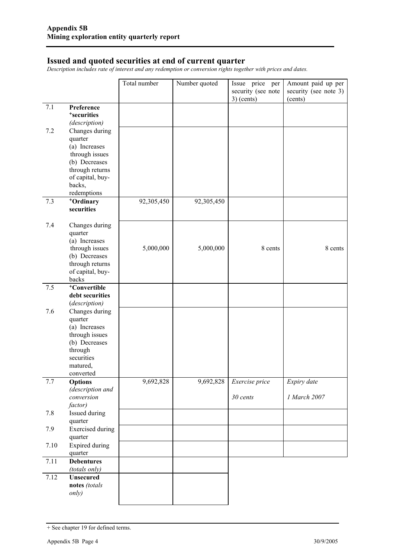#### **Issued and quoted securities at end of current quarter**

*Description includes rate of interest and any redemption or conversion rights together with prices and dates.* 

|      |                                       | Total number | Number quoted | Issue price per    | Amount paid up per    |
|------|---------------------------------------|--------------|---------------|--------------------|-----------------------|
|      |                                       |              |               | security (see note | security (see note 3) |
|      |                                       |              |               | $3)$ (cents)       | (cents)               |
| 7.1  | Preference<br><sup>+</sup> securities |              |               |                    |                       |
|      | (description)                         |              |               |                    |                       |
| 7.2  | Changes during                        |              |               |                    |                       |
|      | quarter                               |              |               |                    |                       |
|      | (a) Increases                         |              |               |                    |                       |
|      | through issues                        |              |               |                    |                       |
|      | (b) Decreases                         |              |               |                    |                       |
|      | through returns                       |              |               |                    |                       |
|      | of capital, buy-<br>backs,            |              |               |                    |                       |
|      | redemptions                           |              |               |                    |                       |
| 7.3  | +Ordinary                             | 92,305,450   | 92,305,450    |                    |                       |
|      | securities                            |              |               |                    |                       |
|      |                                       |              |               |                    |                       |
| 7.4  | Changes during                        |              |               |                    |                       |
|      | quarter<br>(a) Increases              |              |               |                    |                       |
|      | through issues                        | 5,000,000    | 5,000,000     | 8 cents            | 8 cents               |
|      | (b) Decreases                         |              |               |                    |                       |
|      | through returns                       |              |               |                    |                       |
|      | of capital, buy-                      |              |               |                    |                       |
|      | backs                                 |              |               |                    |                       |
| 7.5  | <sup>+</sup> Convertible              |              |               |                    |                       |
|      | debt securities<br>(description)      |              |               |                    |                       |
| 7.6  | Changes during                        |              |               |                    |                       |
|      | quarter                               |              |               |                    |                       |
|      | (a) Increases                         |              |               |                    |                       |
|      | through issues                        |              |               |                    |                       |
|      | (b) Decreases                         |              |               |                    |                       |
|      | through<br>securities                 |              |               |                    |                       |
|      | matured,                              |              |               |                    |                       |
|      | converted                             |              |               |                    |                       |
| 7.7  | <b>Options</b>                        | 9,692,828    | 9,692,828     | Exercise price     | Expiry date           |
|      | (description and                      |              |               |                    |                       |
|      | conversion                            |              |               | 30 cents           | 1 March 2007          |
|      | factor)                               |              |               |                    |                       |
| 7.8  | Issued during<br>quarter              |              |               |                    |                       |
| 7.9  | <b>Exercised</b> during               |              |               |                    |                       |
|      | quarter                               |              |               |                    |                       |
| 7.10 | <b>Expired during</b>                 |              |               |                    |                       |
|      | quarter                               |              |               |                    |                       |
| 7.11 | <b>Debentures</b>                     |              |               |                    |                       |
|      | (totals only)                         |              |               |                    |                       |
| 7.12 | <b>Unsecured</b>                      |              |               |                    |                       |
|      | notes (totals<br>only)                |              |               |                    |                       |
|      |                                       |              |               |                    |                       |

<sup>+</sup> See chapter 19 for defined terms.